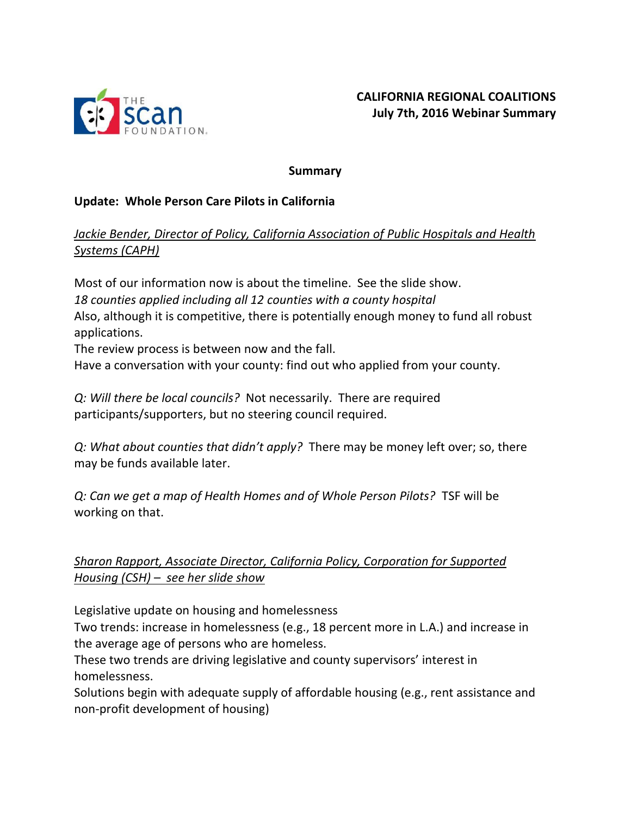

#### **Summary**

#### **Update: Whole Person Care Pilots in California**

## *Jackie Bender, Director of Policy, California Association of Public Hospitals and Health Systems (CAPH)*

Most of our information now is about the timeline. See the slide show. *18 counties applied including all 12 counties with a county hospital* Also, although it is competitive, there is potentially enough money to fund all robust applications.

The review process is between now and the fall.

Have a conversation with your county: find out who applied from your county.

*Q: Will there be local councils?* Not necessarily. There are required participants/supporters, but no steering council required.

*Q: What about counties that didn't apply?* There may be money left over; so, there may be funds available later.

*Q: Can we get a map of Health Homes and of Whole Person Pilots?* TSF will be working on that.

## *Sharon Rapport, Associate Director, California Policy, Corporation for Supported Housing (CSH) – see her slide show*

Legislative update on housing and homelessness

Two trends: increase in homelessness (e.g., 18 percent more in L.A.) and increase in the average age of persons who are homeless.

These two trends are driving legislative and county supervisors' interest in homelessness.

Solutions begin with adequate supply of affordable housing (e.g., rent assistance and non-profit development of housing)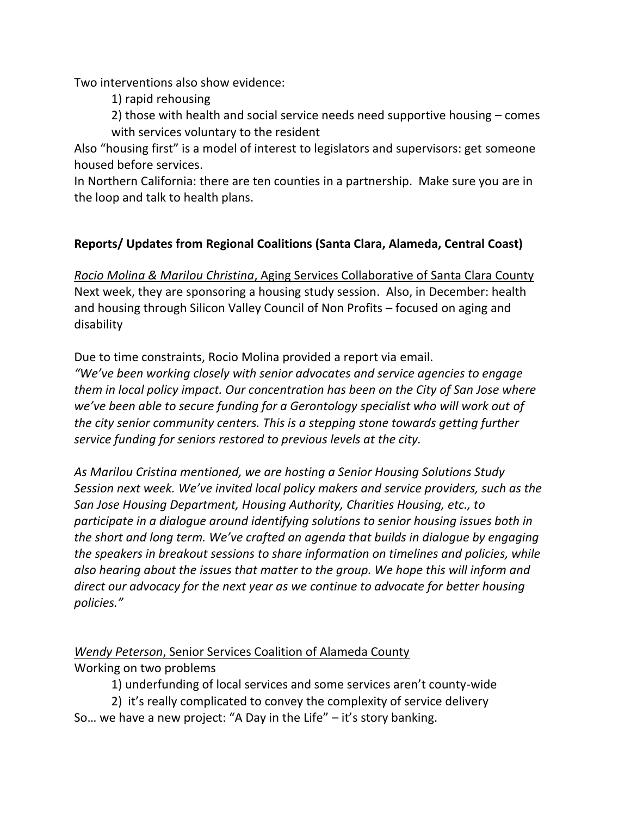Two interventions also show evidence:

1) rapid rehousing

2) those with health and social service needs need supportive housing – comes with services voluntary to the resident

Also "housing first" is a model of interest to legislators and supervisors: get someone housed before services.

In Northern California: there are ten counties in a partnership. Make sure you are in the loop and talk to health plans.

#### **Reports/ Updates from Regional Coalitions (Santa Clara, Alameda, Central Coast)**

*Rocio Molina & Marilou Christina*, Aging Services Collaborative of Santa Clara County Next week, they are sponsoring a housing study session. Also, in December: health and housing through Silicon Valley Council of Non Profits – focused on aging and disability

Due to time constraints, Rocio Molina provided a report via email.

*"We've been working closely with senior advocates and service agencies to engage them in local policy impact. Our concentration has been on the City of San Jose where we've been able to secure funding for a Gerontology specialist who will work out of the city senior community centers. This is a stepping stone towards getting further service funding for seniors restored to previous levels at the city.* 

*As Marilou Cristina mentioned, we are hosting a Senior Housing Solutions Study Session next week. We've invited local policy makers and service providers, such as the San Jose Housing Department, Housing Authority, Charities Housing, etc., to participate in a dialogue around identifying solutions to senior housing issues both in the short and long term. We've crafted an agenda that builds in dialogue by engaging the speakers in breakout sessions to share information on timelines and policies, while also hearing about the issues that matter to the group. We hope this will inform and direct our advocacy for the next year as we continue to advocate for better housing policies."*

*Wendy Peterson*, Senior Services Coalition of Alameda County Working on two problems

1) underfunding of local services and some services aren't county-wide

2) it's really complicated to convey the complexity of service delivery So... we have a new project: "A Day in the Life"  $-$  it's story banking.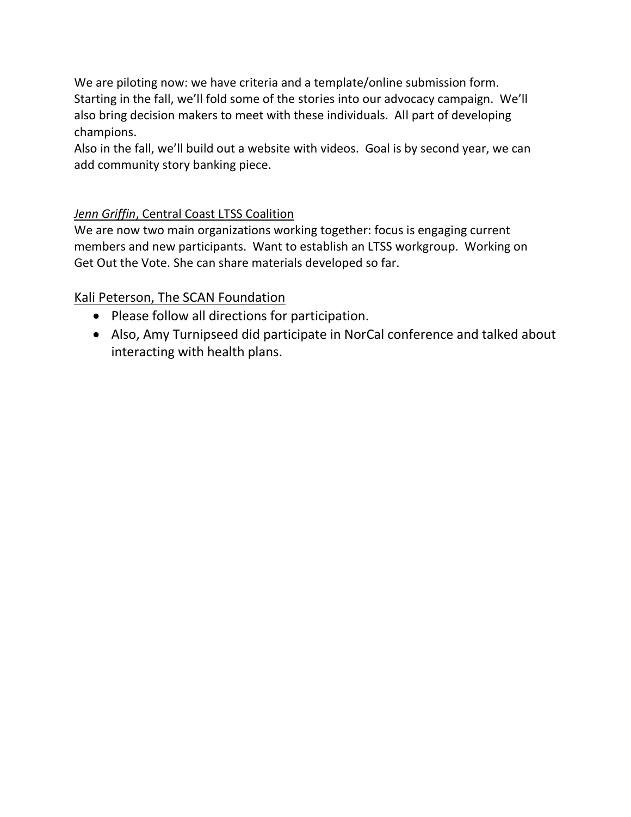We are piloting now: we have criteria and a template/online submission form. Starting in the fall, we'll fold some of the stories into our advocacy campaign. We'll also bring decision makers to meet with these individuals. All part of developing champions.

Also in the fall, we'll build out a website with videos. Goal is by second year, we can add community story banking piece.

## *Jenn Griffin*, Central Coast LTSS Coalition

We are now two main organizations working together: focus is engaging current members and new participants. Want to establish an LTSS workgroup. Working on Get Out the Vote. She can share materials developed so far.

## Kali Peterson, The SCAN Foundation

- Please follow all directions for participation.
- Also, Amy Turnipseed did participate in NorCal conference and talked about interacting with health plans.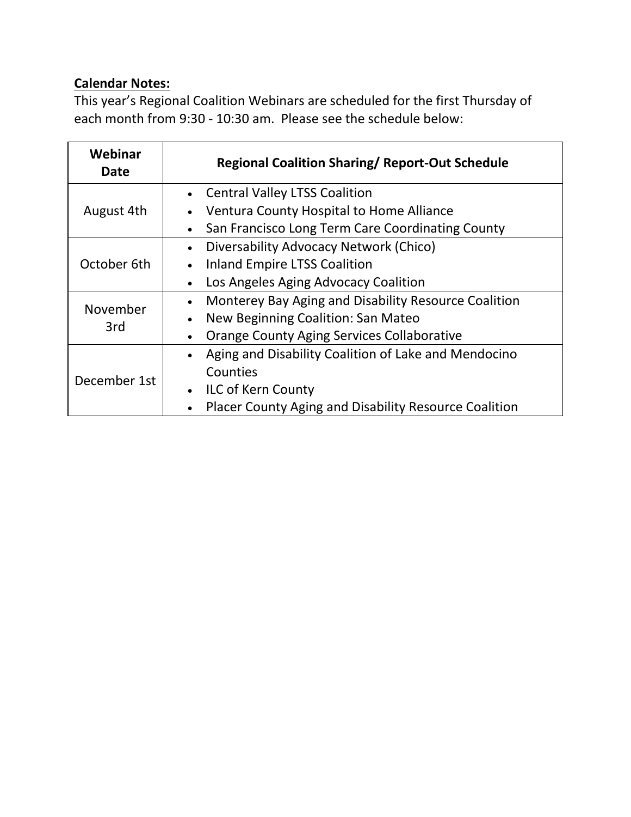# **Calendar Notes:**

This year's Regional Coalition Webinars are scheduled for the first Thursday of each month from 9:30 - 10:30 am. Please see the schedule below:

| Webinar<br><b>Date</b> | <b>Regional Coalition Sharing/ Report-Out Schedule</b>                    |  |
|------------------------|---------------------------------------------------------------------------|--|
| August 4th             | <b>Central Valley LTSS Coalition</b>                                      |  |
|                        | Ventura County Hospital to Home Alliance<br>$\bullet$                     |  |
|                        | San Francisco Long Term Care Coordinating County<br>$\bullet$             |  |
| October 6th            | Diversability Advocacy Network (Chico)<br>$\bullet$                       |  |
|                        | <b>Inland Empire LTSS Coalition</b><br>$\bullet$                          |  |
|                        | Los Angeles Aging Advocacy Coalition<br>$\bullet$                         |  |
| November<br>3rd        | Monterey Bay Aging and Disability Resource Coalition<br>$\bullet$         |  |
|                        | New Beginning Coalition: San Mateo<br>$\bullet$                           |  |
|                        | Orange County Aging Services Collaborative<br>$\bullet$                   |  |
| December 1st           | Aging and Disability Coalition of Lake and Mendocino<br>$\bullet$         |  |
|                        | Counties                                                                  |  |
|                        | <b>ILC of Kern County</b><br>$\bullet$                                    |  |
|                        | <b>Placer County Aging and Disability Resource Coalition</b><br>$\bullet$ |  |